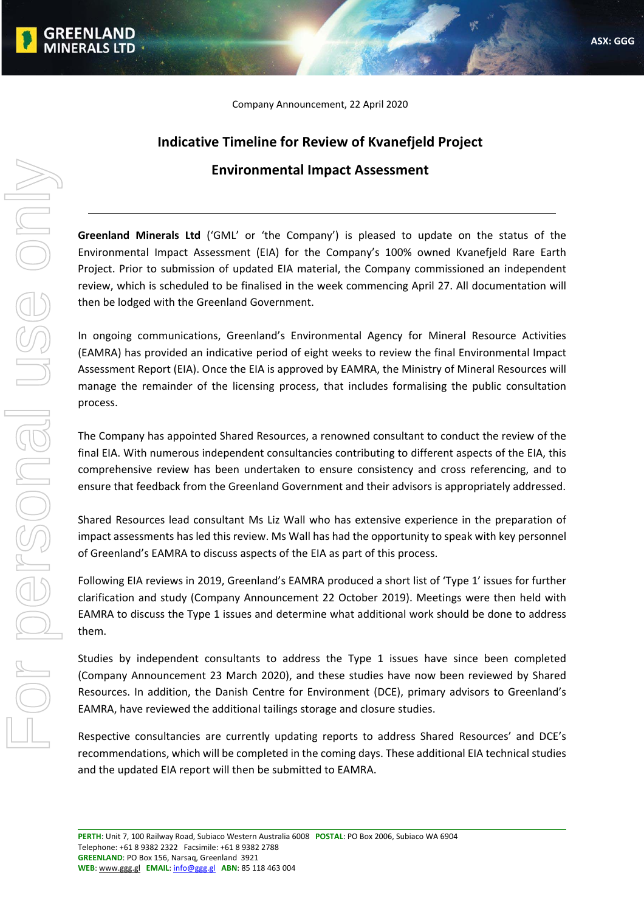Company Announcement, 22 April 2020

## **Indicative Timeline for Review of Kvanefjeld Project Environmental Impact Assessment**

**Greenland Minerals Ltd** ('GML' or 'the Company') is pleased to update on the status of the Environmental Impact Assessment (EIA) for the Company's 100% owned Kvanefjeld Rare Earth Project. Prior to submission of updated EIA material, the Company commissioned an independent review, which is scheduled to be finalised in the week commencing April 27. All documentation will then be lodged with the Greenland Government.

In ongoing communications, Greenland's Environmental Agency for Mineral Resource Activities (EAMRA) has provided an indicative period of eight weeks to review the final Environmental Impact Assessment Report (EIA). Once the EIA is approved by EAMRA, the Ministry of Mineral Resources will manage the remainder of the licensing process, that includes formalising the public consultation process.

The Company has appointed Shared Resources, a renowned consultant to conduct the review of the final EIA. With numerous independent consultancies contributing to different aspects of the EIA, this comprehensive review has been undertaken to ensure consistency and cross referencing, and to ensure that feedback from the Greenland Government and their advisors is appropriately addressed.

Shared Resources lead consultant Ms Liz Wall who has extensive experience in the preparation of impact assessments has led this review. Ms Wall has had the opportunity to speak with key personnel of Greenland's EAMRA to discuss aspects of the EIA as part of this process.

Following EIA reviews in 2019, Greenland's EAMRA produced a short list of 'Type 1' issues for further clarification and study (Company Announcement 22 October 2019). Meetings were then held with EAMRA to discuss the Type 1 issues and determine what additional work should be done to address them.

Studies by independent consultants to address the Type 1 issues have since been completed (Company Announcement 23 March 2020), and these studies have now been reviewed by Shared Resources. In addition, the Danish Centre for Environment (DCE), primary advisors to Greenland's EAMRA, have reviewed the additional tailings storage and closure studies.

Respective consultancies are currently updating reports to address Shared Resources' and DCE's recommendations, which will be completed in the coming days. These additional EIA technical studies and the updated EIA report will then be submitted to EAMRA.

**MINERALS LTD**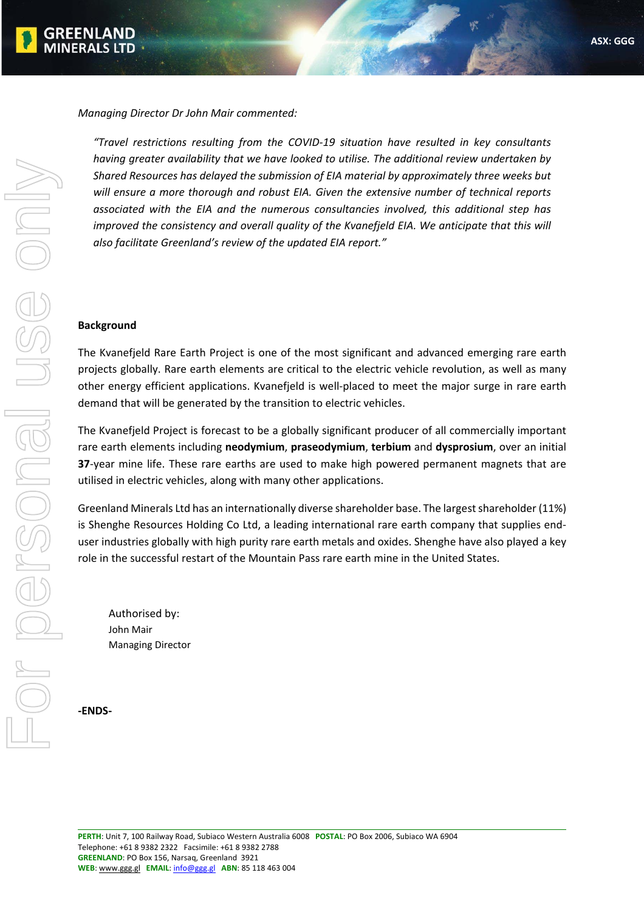

*Managing Director Dr John Mair commented:*

*"Travel restrictions resulting from the COVID‐19 situation have resulted in key consultants having greater availability that we have looked to utilise. The additional review undertaken by Shared Resources has delayed the submission of EIA material by approximately three weeks but will ensure a more thorough and robust EIA. Given the extensive number of technical reports associated with the EIA and the numerous consultancies involved, this additional step has improved the consistency and overall quality of the Kvanefjeld EIA. We anticipate that this will also facilitate Greenland's review of the updated EIA report."* 

## **Background**

The Kvanefjeld Rare Earth Project is one of the most significant and advanced emerging rare earth projects globally. Rare earth elements are critical to the electric vehicle revolution, as well as many other energy efficient applications. Kvanefjeld is well‐placed to meet the major surge in rare earth demand that will be generated by the transition to electric vehicles.

The Kvanefjeld Project is forecast to be a globally significant producer of all commercially important rare earth elements including **neodymium**, **praseodymium**, **terbium** and **dysprosium**, over an initial **37**-year mine life. These rare earths are used to make high powered permanent magnets that are utilised in electric vehicles, along with many other applications.

Greenland Minerals Ltd has an internationally diverse shareholder base. The largest shareholder (11%) is Shenghe Resources Holding Co Ltd, a leading international rare earth company that supplies end‐ user industries globally with high purity rare earth metals and oxides. Shenghe have also played a key role in the successful restart of the Mountain Pass rare earth mine in the United States.

Authorised by: John Mair Managing Director

**‐ENDS‐**